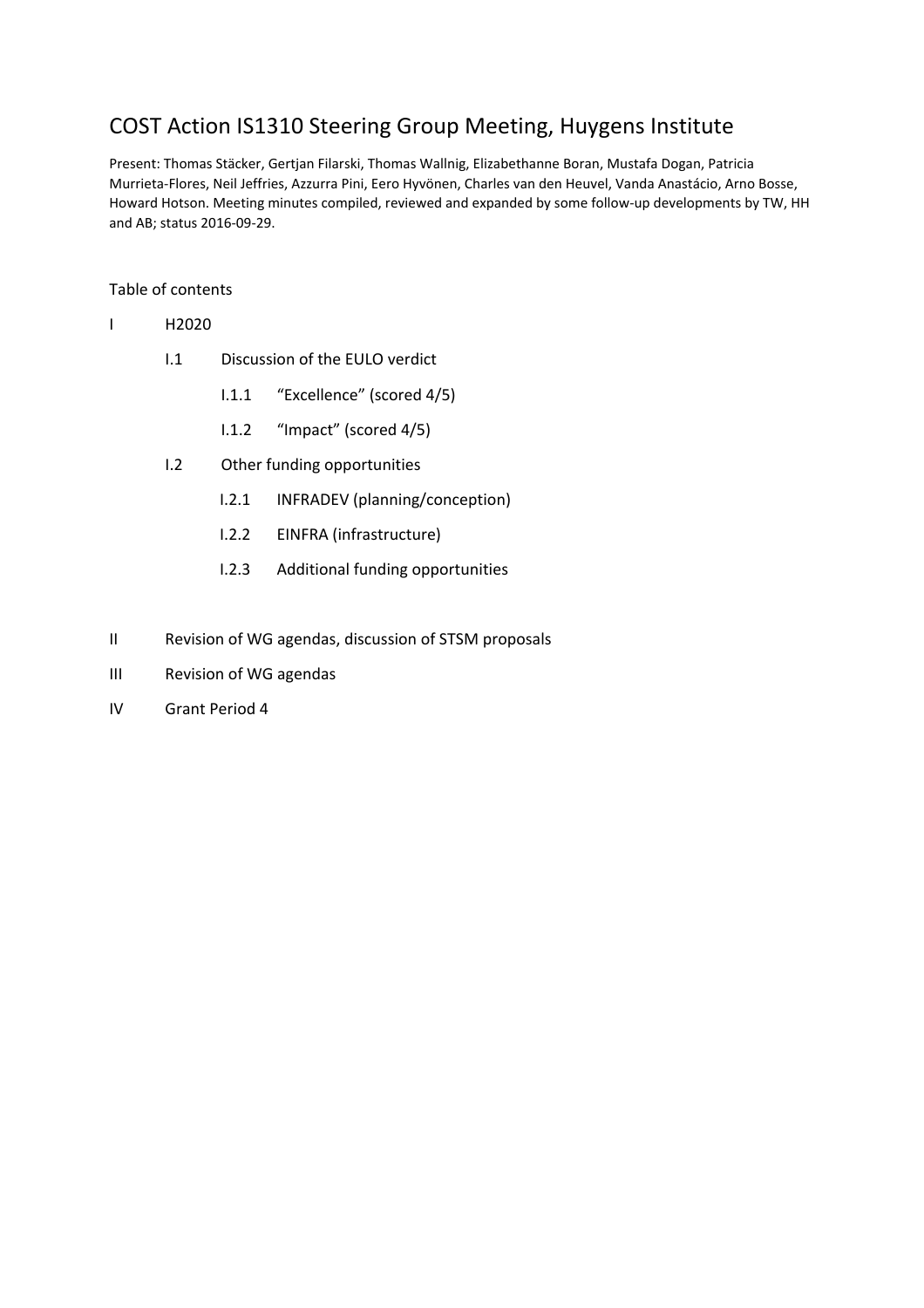# COST Action IS1310 Steering Group Meeting, Huygens Institute

Present: Thomas Stäcker, Gertjan Filarski, Thomas Wallnig, Elizabethanne Boran, Mustafa Dogan, Patricia Murrieta-Flores, Neil Jeffries, Azzurra Pini, Eero Hyvönen, Charles van den Heuvel, Vanda Anastácio, Arno Bosse, Howard Hotson. Meeting minutes compiled, reviewed and expanded by some follow-up developments by TW, HH and AB; status 2016-09-29.

#### Table of contents

- I H2020
	- I.1 Discussion of the EULO verdict
		- I.1.1 "Excellence" (scored 4/5)
		- I.1.2 "Impact" (scored 4/5)
	- I.2 Other funding opportunities
		- I.2.1 INFRADEV (planning/conception)
		- I.2.2 EINFRA (infrastructure)
		- I.2.3 Additional funding opportunities
- II Revision of WG agendas, discussion of STSM proposals
- III Revision of WG agendas
- IV Grant Period 4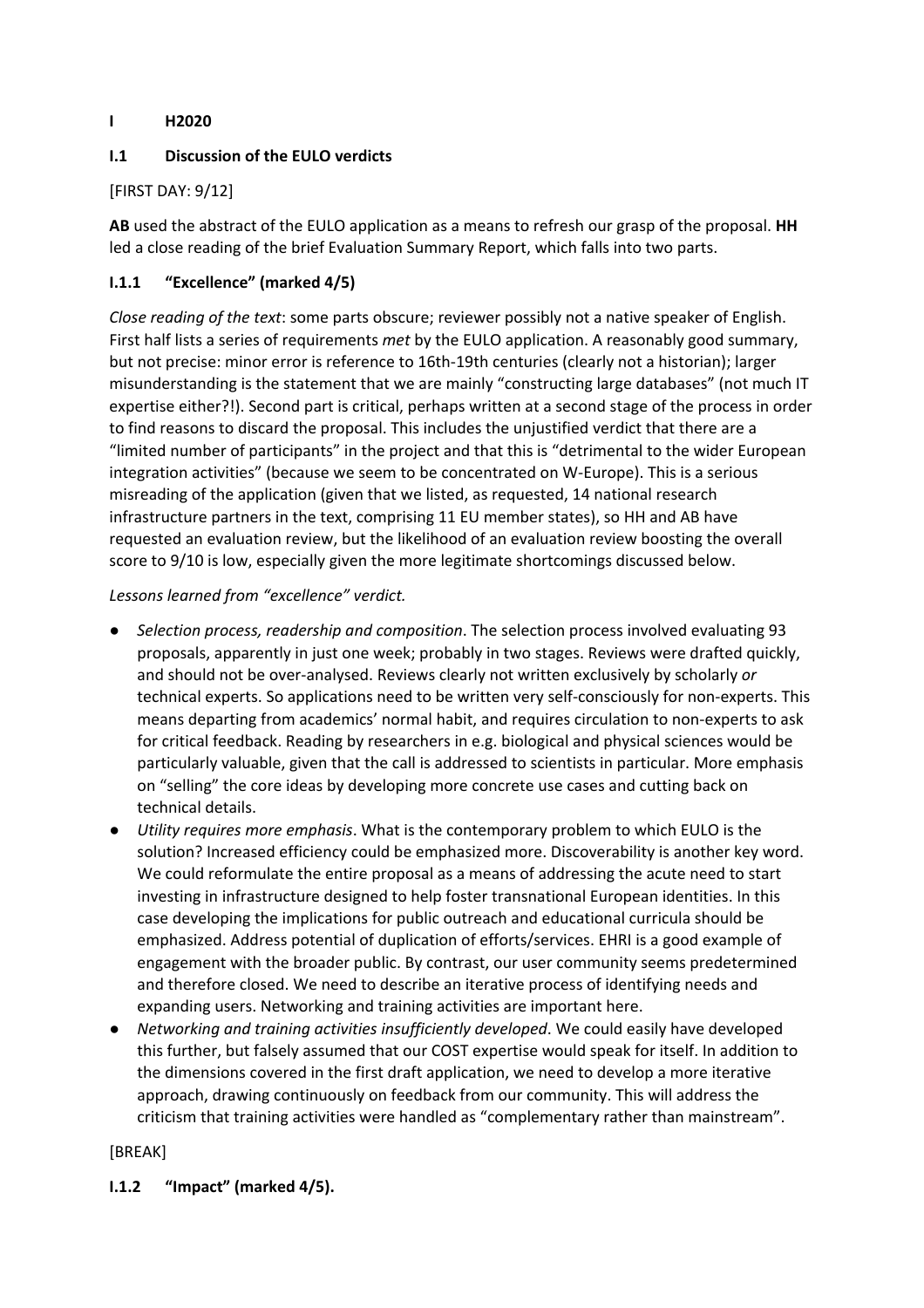## **I H2020**

## **I.1 Discussion of the EULO verdicts**

## [FIRST DAY: 9/12]

**AB** used the abstract of the EULO application as a means to refresh our grasp of the proposal. **HH** led a close reading of the brief Evaluation Summary Report, which falls into two parts.

## **I.1.1 "Excellence" (marked 4/5)**

*Close reading of the text*: some parts obscure; reviewer possibly not a native speaker of English. First half lists a series of requirements *met* by the EULO application. A reasonably good summary, but not precise: minor error is reference to 16th-19th centuries (clearly not a historian); larger misunderstanding is the statement that we are mainly "constructing large databases" (not much IT expertise either?!). Second part is critical, perhaps written at a second stage of the process in order to find reasons to discard the proposal. This includes the unjustified verdict that there are a "limited number of participants" in the project and that this is "detrimental to the wider European integration activities" (because we seem to be concentrated on W-Europe). This is a serious misreading of the application (given that we listed, as requested, 14 national research infrastructure partners in the text, comprising 11 EU member states), so HH and AB have requested an evaluation review, but the likelihood of an evaluation review boosting the overall score to 9/10 is low, especially given the more legitimate shortcomings discussed below.

#### *Lessons learned from "excellence" verdict.*

- *● Selection process, readership and composition*. The selection process involved evaluating 93 proposals, apparently in just one week; probably in two stages. Reviews were drafted quickly, and should not be over-analysed. Reviews clearly not written exclusively by scholarly *or* technical experts. So applications need to be written very self-consciously for non-experts. This means departing from academics' normal habit, and requires circulation to non-experts to ask for critical feedback. Reading by researchers in e.g. biological and physical sciences would be particularly valuable, given that the call is addressed to scientists in particular. More emphasis on "selling" the core ideas by developing more concrete use cases and cutting back on technical details.
- *● Utility requires more emphasis*. What is the contemporary problem to which EULO is the solution? Increased efficiency could be emphasized more. Discoverability is another key word. We could reformulate the entire proposal as a means of addressing the acute need to start investing in infrastructure designed to help foster transnational European identities. In this case developing the implications for public outreach and educational curricula should be emphasized. Address potential of duplication of efforts/services. EHRI is a good example of engagement with the broader public. By contrast, our user community seems predetermined and therefore closed. We need to describe an iterative process of identifying needs and expanding users. Networking and training activities are important here.
- *● Networking and training activities insufficiently developed*. We could easily have developed this further, but falsely assumed that our COST expertise would speak for itself. In addition to the dimensions covered in the first draft application, we need to develop a more iterative approach, drawing continuously on feedback from our community. This will address the criticism that training activities were handled as "complementary rather than mainstream".

#### [BREAK]

#### **I.1.2 "Impact" (marked 4/5).**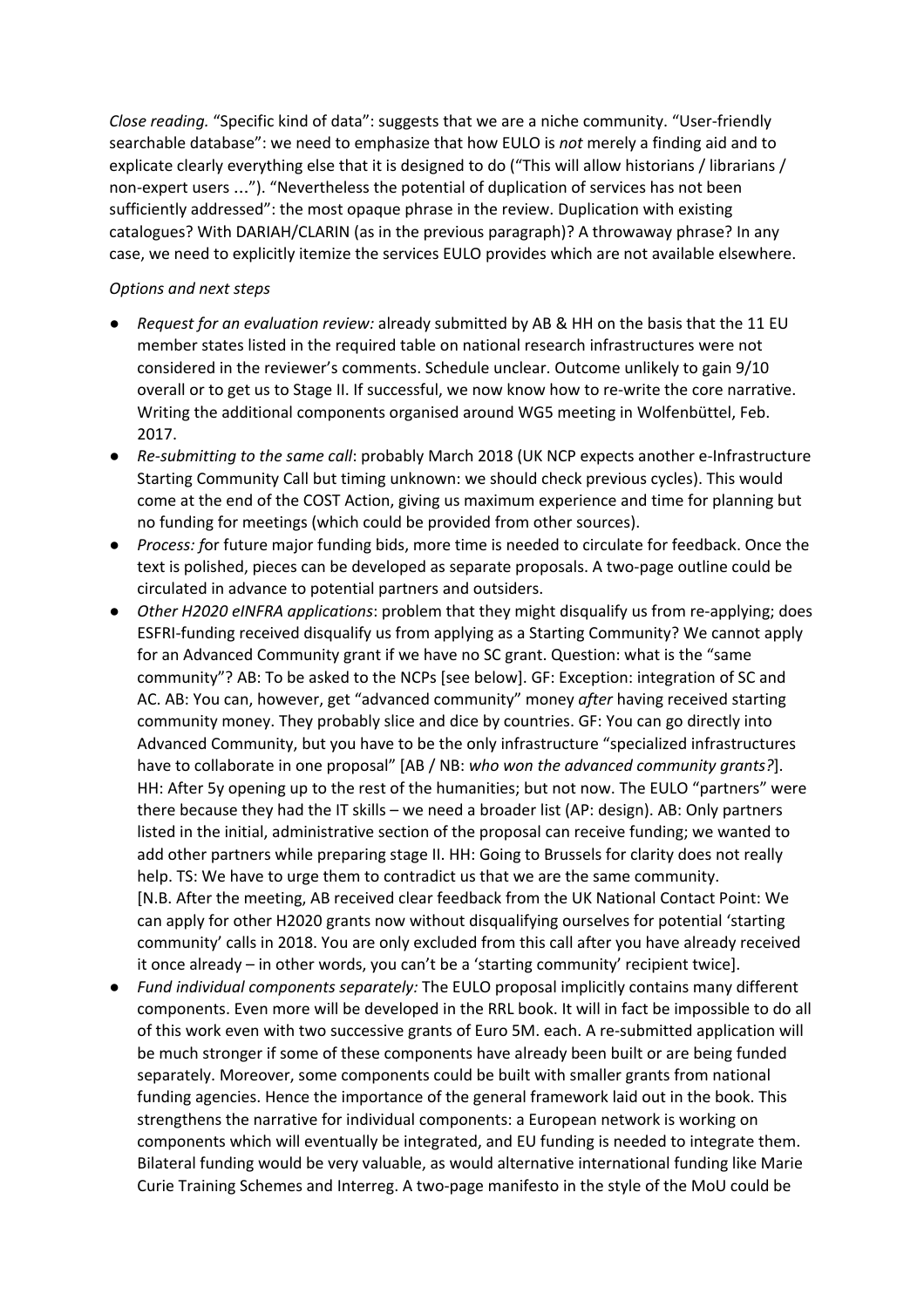*Close reading.* "Specific kind of data": suggests that we are a niche community. "User-friendly searchable database": we need to emphasize that how EULO is *not* merely a finding aid and to explicate clearly everything else that it is designed to do ("This will allow historians / librarians / non-expert users …"). "Nevertheless the potential of duplication of services has not been sufficiently addressed": the most opaque phrase in the review. Duplication with existing catalogues? With DARIAH/CLARIN (as in the previous paragraph)? A throwaway phrase? In any case, we need to explicitly itemize the services EULO provides which are not available elsewhere.

#### *Options and next steps*

- *Request for an evaluation review:* already submitted by AB & HH on the basis that the 11 EU member states listed in the required table on national research infrastructures were not considered in the reviewer's comments. Schedule unclear. Outcome unlikely to gain 9/10 overall or to get us to Stage II. If successful, we now know how to re-write the core narrative. Writing the additional components organised around WG5 meeting in Wolfenbüttel, Feb. 2017.
- *Re-submitting to the same call*: probably March 2018 (UK NCP expects another e-Infrastructure Starting Community Call but timing unknown: we should check previous cycles). This would come at the end of the COST Action, giving us maximum experience and time for planning but no funding for meetings (which could be provided from other sources).
- *Process: f*or future major funding bids, more time is needed to circulate for feedback. Once the text is polished, pieces can be developed as separate proposals. A two-page outline could be circulated in advance to potential partners and outsiders.
- *Other H2020 eINFRA applications*: problem that they might disqualify us from re-applying; does ESFRI-funding received disqualify us from applying as a Starting Community? We cannot apply for an Advanced Community grant if we have no SC grant. Question: what is the "same community"? AB: To be asked to the NCPs [see below]. GF: Exception: integration of SC and AC. AB: You can, however, get "advanced community" money *after* having received starting community money. They probably slice and dice by countries. GF: You can go directly into Advanced Community, but you have to be the only infrastructure "specialized infrastructures have to collaborate in one proposal" [AB / NB: *who won the advanced community grants?*]. HH: After 5y opening up to the rest of the humanities; but not now. The EULO "partners" were there because they had the IT skills – we need a broader list (AP: design). AB: Only partners listed in the initial, administrative section of the proposal can receive funding; we wanted to add other partners while preparing stage II. HH: Going to Brussels for clarity does not really help. TS: We have to urge them to contradict us that we are the same community. [N.B. After the meeting, AB received clear feedback from the UK National Contact Point: We can apply for other H2020 grants now without disqualifying ourselves for potential 'starting community' calls in 2018. You are only excluded from this call after you have already received it once already – in other words, you can't be a 'starting community' recipient twice].
- *Fund individual components separately:* The EULO proposal implicitly contains many different components. Even more will be developed in the RRL book. It will in fact be impossible to do all of this work even with two successive grants of Euro 5M. each. A re-submitted application will be much stronger if some of these components have already been built or are being funded separately. Moreover, some components could be built with smaller grants from national funding agencies. Hence the importance of the general framework laid out in the book. This strengthens the narrative for individual components: a European network is working on components which will eventually be integrated, and EU funding is needed to integrate them. Bilateral funding would be very valuable, as would alternative international funding like Marie Curie Training Schemes and Interreg. A two-page manifesto in the style of the MoU could be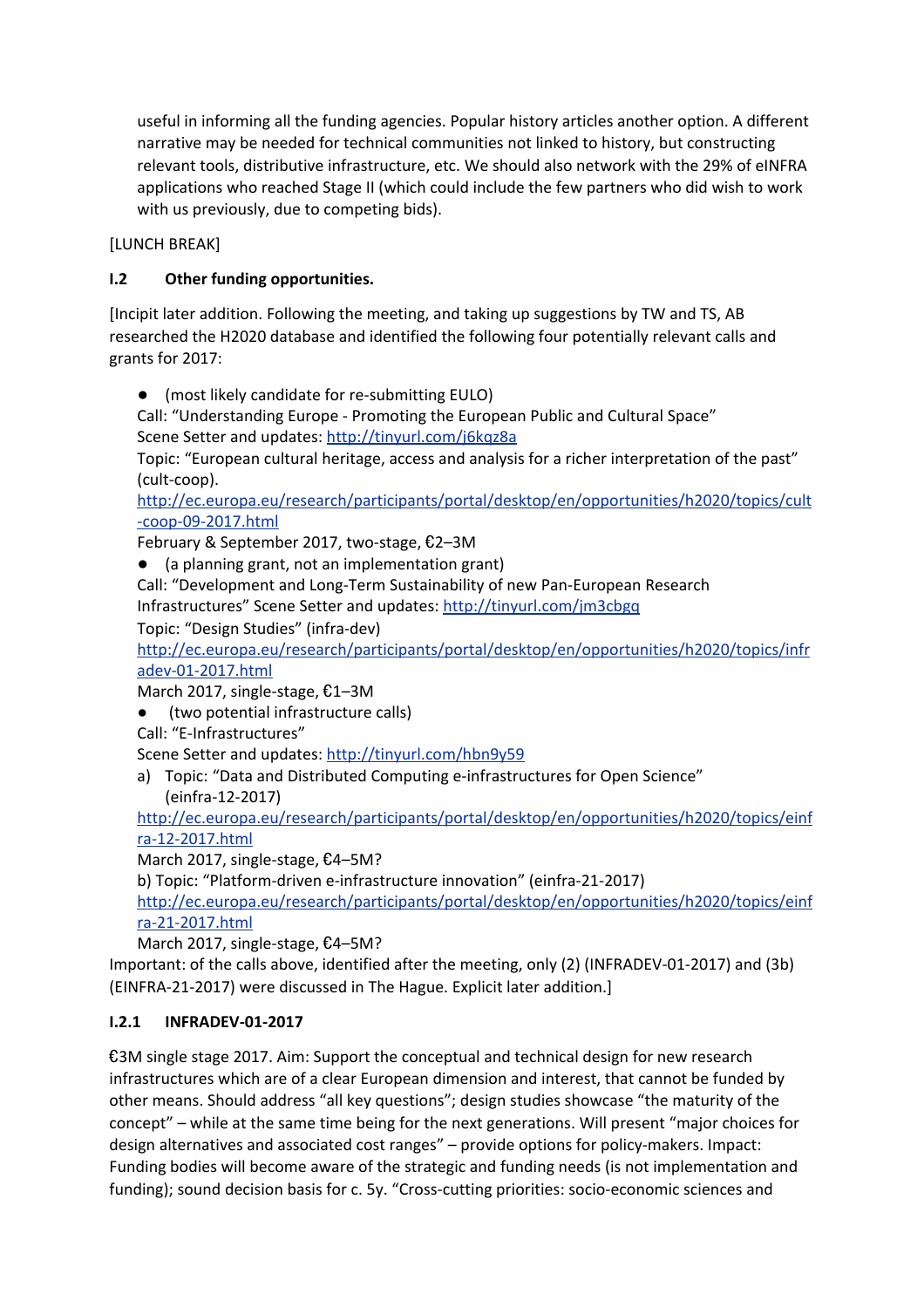useful in informing all the funding agencies. Popular history articles another option. A different narrative may be needed for technical communities not linked to history, but constructing relevant tools, distributive infrastructure, etc. We should also network with the 29% of eINFRA applications who reached Stage II (which could include the few partners who did wish to work with us previously, due to competing bids).

[LUNCH BREAK]

# **I.2 Other funding opportunities.**

[Incipit later addition. Following the meeting, and taking up suggestions by TW and TS, AB researched the H2020 database and identified the following four potentially relevant calls and grants for 2017:

● (most likely candidate for re-submitting EULO)

Call: "Understanding Europe - Promoting the European Public and Cultural Space" Scene Setter and updates:<http://tinyurl.com/j6kqz8a>

Topic: "European cultural heritage, access and analysis for a richer interpretation of the past" (cult-coop).

[http://ec.europa.eu/research/participants/portal/desktop/en/opportunities/h2020/topics/cult](http://ec.europa.eu/research/participants/portal/desktop/en/opportunities/h2020/topics/cult-coop-09-2017.html) [-coop-09-2017.html](http://ec.europa.eu/research/participants/portal/desktop/en/opportunities/h2020/topics/cult-coop-09-2017.html)

February & September 2017, two-stage, €2–3M

● (a planning grant, not an implementation grant)

Call: "Development and Long-Term Sustainability of new Pan-European Research Infrastructures" Scene Setter and updates:<http://tinyurl.com/jm3cbgq>

Topic: "Design Studies" (infra-dev)

[http://ec.europa.eu/research/participants/portal/desktop/en/opportunities/h2020/topics/infr](http://ec.europa.eu/research/participants/portal/desktop/en/opportunities/h2020/topics/infradev-01-2017.html) [adev-01-2017.html](http://ec.europa.eu/research/participants/portal/desktop/en/opportunities/h2020/topics/infradev-01-2017.html)

March 2017, single[-s](http://ec.europa.eu/research/participants/portal/desktop/en/opportunities/h2020/topics/infradev-01-2017.html)tage, €1–3M

(two potential infrastructure calls)

Call: "E-Infrastructures"

Scene Setter and updates:<http://tinyurl.com/hbn9y59>

a) Topic: "Data and Distributed Computing e-infrastructures for Open Science" (einfra-12-2017)

[http://ec.europa.eu/research/participants/portal/desktop/en/opportunities/h2020/topics/einf](http://ec.europa.eu/research/participants/portal/desktop/en/opportunities/h2020/topics/einfra-12-2017.html) [ra-12-2017.html](http://ec.europa.eu/research/participants/portal/desktop/en/opportunities/h2020/topics/einfra-12-2017.html)

March 2017, single-stage, €4–5M?

b) Topic: "Platform-driven e-infrastructure innovation" (einfra-21-2017)

[http://ec.europa.eu/research/participants/portal/desktop/en/opportunities/h2020/topics/einf](http://ec.europa.eu/research/participants/portal/desktop/en/opportunities/h2020/topics/einfra-21-2017.html) [ra-21-2017.html](http://ec.europa.eu/research/participants/portal/desktop/en/opportunities/h2020/topics/einfra-21-2017.html)

March 2017, sin[gl](http://ec.europa.eu/research/participants/portal/desktop/en/opportunities/h2020/topics/einfra-21-2017.html)e-stage, €4–5M?

Important: of the calls above, identified after the meeting, only (2) (INFRADEV-01-2017) and (3b) (EINFRA-21-2017) were discussed in The Hague. Explicit later addition.]

#### **I.2.1 INFRADEV-01-2017**

€3M single stage 2017. Aim: Support the conceptual and technical design for new research infrastructures which are of a clear European dimension and interest, that cannot be funded by other means. Should address "all key questions"; design studies showcase "the maturity of the concept" – while at the same time being for the next generations. Will present "major choices for design alternatives and associated cost ranges" – provide options for policy-makers. Impact: Funding bodies will become aware of the strategic and funding needs (is not implementation and funding); sound decision basis for c. 5y. "Cross-cutting priorities: socio-economic sciences and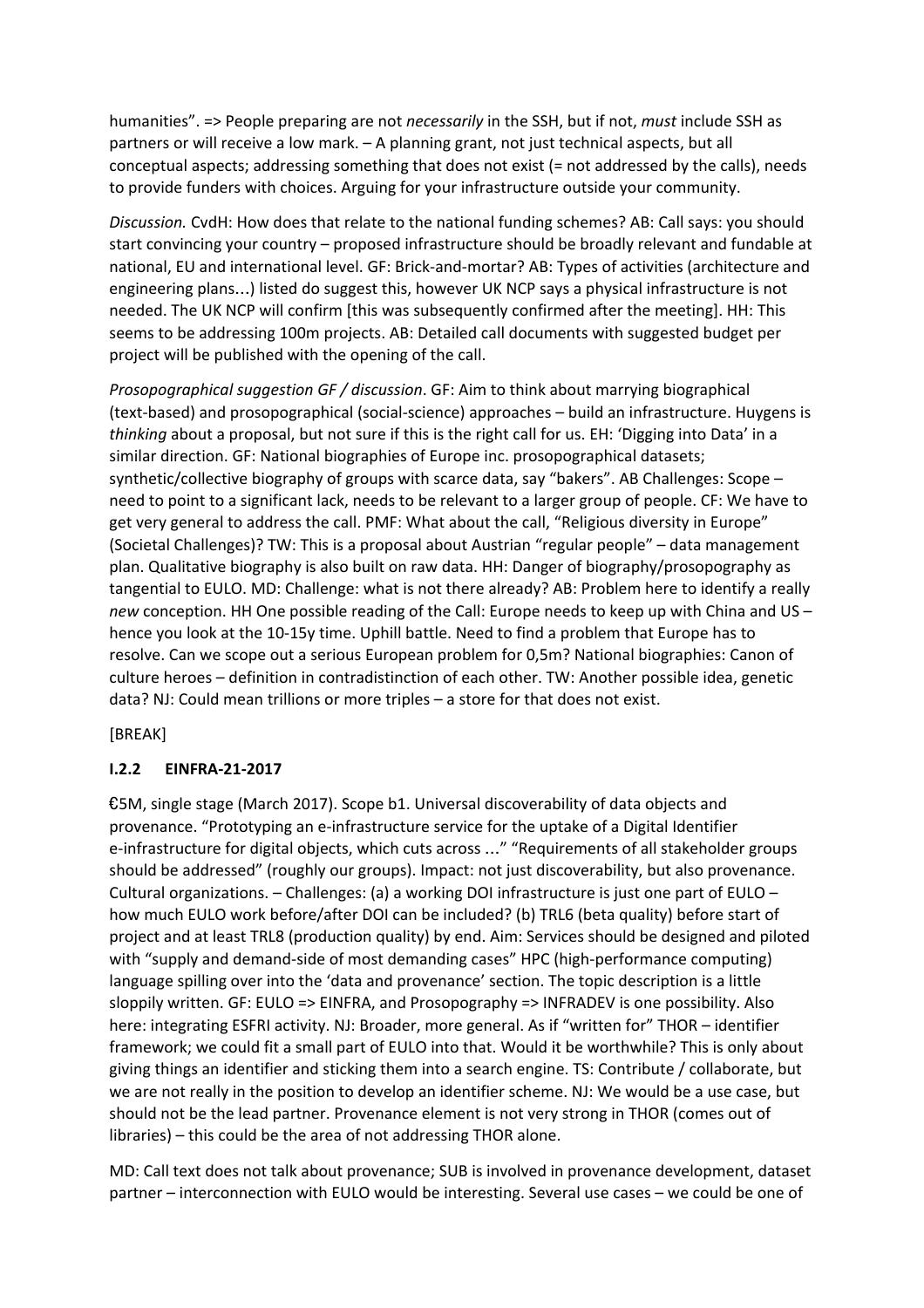humanities". => People preparing are not *necessarily* in the SSH, but if not, *must* include SSH as partners or will receive a low mark. – A planning grant, not just technical aspects, but all conceptual aspects; addressing something that does not exist (= not addressed by the calls), needs to provide funders with choices. Arguing for your infrastructure outside your community.

*Discussion.* CvdH: How does that relate to the national funding schemes? AB: Call says: you should start convincing your country – proposed infrastructure should be broadly relevant and fundable at national, EU and international level. GF: Brick-and-mortar? AB: Types of activities (architecture and engineering plans…) listed do suggest this, however UK NCP says a physical infrastructure is not needed. The UK NCP will confirm [this was subsequently confirmed after the meeting]. HH: This seems to be addressing 100m projects. AB: Detailed call documents with suggested budget per project will be published with the opening of the call.

*Prosopographical suggestion GF / discussion*. GF: Aim to think about marrying biographical (text-based) and prosopographical (social-science) approaches – build an infrastructure. Huygens is *thinking* about a proposal, but not sure if this is the right call for us. EH: 'Digging into Data' in a similar direction. GF: National biographies of Europe inc. prosopographical datasets; synthetic/collective biography of groups with scarce data, say "bakers". AB Challenges: Scope – need to point to a significant lack, needs to be relevant to a larger group of people. CF: We have to get very general to address the call. PMF: What about the call, "Religious diversity in Europe" (Societal Challenges)? TW: This is a proposal about Austrian "regular people" – data management plan. Qualitative biography is also built on raw data. HH: Danger of biography/prosopography as tangential to EULO. MD: Challenge: what is not there already? AB: Problem here to identify a really *new* conception. HH One possible reading of the Call: Europe needs to keep up with China and US – hence you look at the 10-15y time. Uphill battle. Need to find a problem that Europe has to resolve. Can we scope out a serious European problem for 0,5m? National biographies: Canon of culture heroes – definition in contradistinction of each other. TW: Another possible idea, genetic data? NJ: Could mean trillions or more triples – a store for that does not exist.

#### [BREAK]

#### **I.2.2 EINFRA-21-2017**

€5M, single stage (March 2017). Scope b1. Universal discoverability of data objects and provenance. "Prototyping an e-infrastructure service for the uptake of a Digital Identifier e-infrastructure for digital objects, which cuts across …" "Requirements of all stakeholder groups should be addressed" (roughly our groups). Impact: not just discoverability, but also provenance. Cultural organizations. – Challenges: (a) a working DOI infrastructure is just one part of EULO – how much EULO work before/after DOI can be included? (b) TRL6 (beta quality) before start of project and at least TRL8 (production quality) by end. Aim: Services should be designed and piloted with "supply and demand-side of most demanding cases" HPC (high-performance computing) language spilling over into the 'data and provenance' section. The topic description is a little sloppily written. GF: EULO => EINFRA, and Prosopography => INFRADEV is one possibility. Also here: integrating ESFRI activity. NJ: Broader, more general. As if "written for" THOR – identifier framework; we could fit a small part of EULO into that. Would it be worthwhile? This is only about giving things an identifier and sticking them into a search engine. TS: Contribute / collaborate, but we are not really in the position to develop an identifier scheme. NJ: We would be a use case, but should not be the lead partner. Provenance element is not very strong in THOR (comes out of libraries) – this could be the area of not addressing THOR alone.

MD: Call text does not talk about provenance; SUB is involved in provenance development, dataset partner – interconnection with EULO would be interesting. Several use cases – we could be one of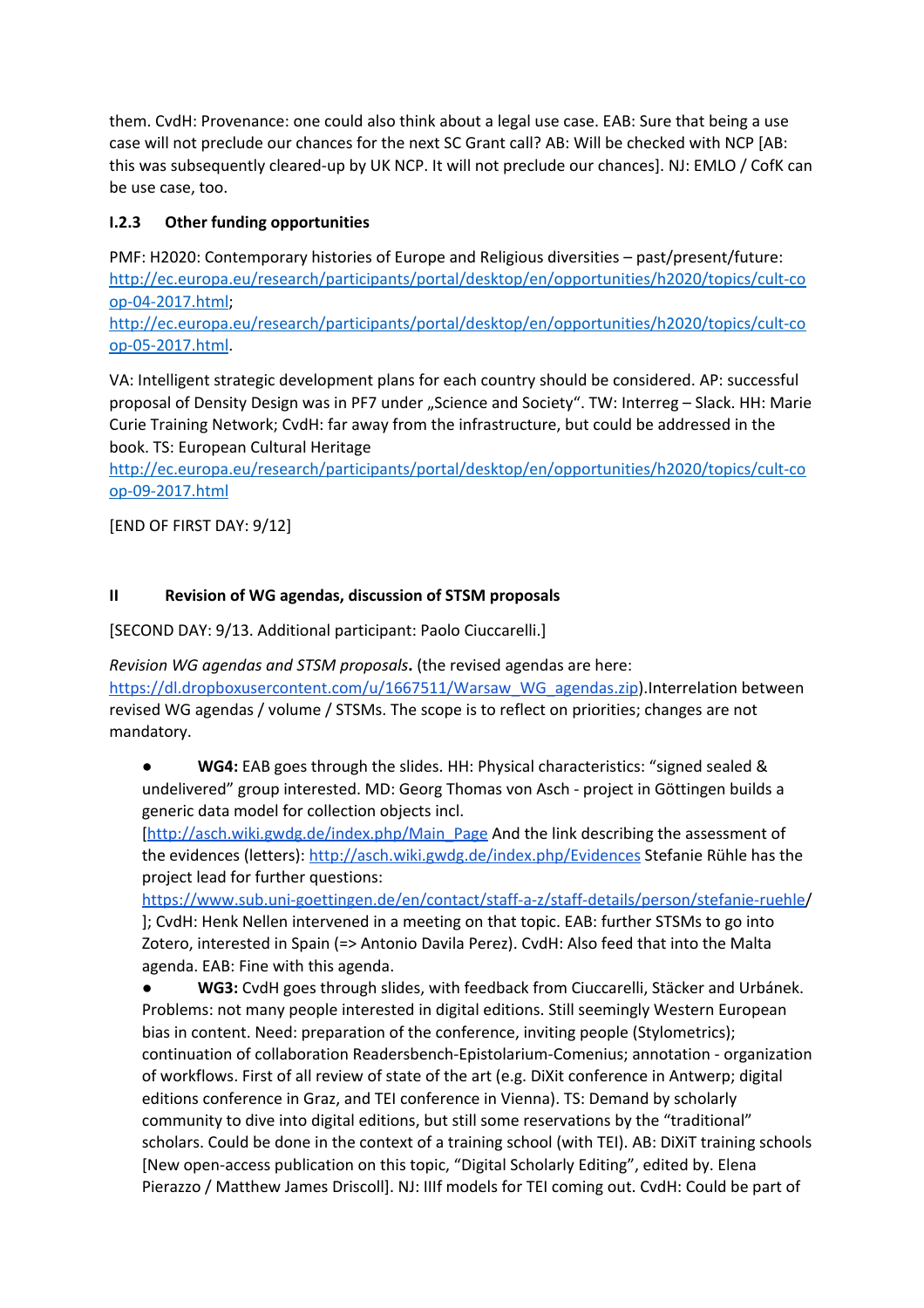them. CvdH: Provenance: one could also think about a legal use case. EAB: Sure that being a use case will not preclude our chances for the next SC Grant call? AB: Will be checked with NCP [AB: this was subsequently cleared-up by UK NCP. It will not preclude our chances]. NJ: EMLO / CofK can be use case, too.

# **I.2.3 Other funding opportunities**

PMF: H2020: Contemporary histories of Europe and Religious diversities – past/present/future: [http://ec.europa.eu/research/participants/portal/desktop/en/opportunities/h2020/topics/cult-co](http://ec.europa.eu/research/participants/portal/desktop/en/opportunities/h2020/topics/cult-coop-04-2017.html) [op-04-2017.html](http://ec.europa.eu/research/participants/portal/desktop/en/opportunities/h2020/topics/cult-coop-04-2017.html);

[http://ec.europa.eu/research/participants/portal/desktop/en/opportunities/h2020/topics/cult-co](http://ec.europa.eu/research/participants/portal/desktop/en/opportunities/h2020/topics/cult-coop-05-2017.html) [op-05-2017.html](http://ec.europa.eu/research/participants/portal/desktop/en/opportunities/h2020/topics/cult-coop-05-2017.html).

VA: Intelligent strategic development plans for each country should be considered. AP: successful proposal of Density Design was in PF7 under "Science and Society". TW: Interreg - Slack. HH: Marie Curie Training Network; CvdH: far away from the infrastructure, but could be addressed in the book. TS: European Cultural Heritage

[http://ec.europa.eu/research/participants/portal/desktop/en/opportunities/h2020/topics/cult-co](http://ec.europa.eu/research/participants/portal/desktop/en/opportunities/h2020/topics/cult-coop-09-2017.html) [op-09-2017.html](http://ec.europa.eu/research/participants/portal/desktop/en/opportunities/h2020/topics/cult-coop-09-2017.html)

[END OF FIRST DAY: 9/12]

## **II Revision of WG agendas, discussion of STSM proposals**

[SECOND DAY: 9/13. Additional participant: Paolo Ciuccarelli.]

*Revision WG agendas and STSM proposals***.** (the revised agendas are here: [https://dl.dropboxusercontent.com/u/1667511/Warsaw\\_WG\\_agendas.zip\)](https://dl.dropboxusercontent.com/u/1667511/Warsaw_WG_agendas.zip).Interrelation between revised WG agendas / volume / STSMs. The scope is to reflect on priorities; changes are not mandatory.

WG4: EAB goes through the slides. HH: Physical characteristics: "signed sealed & undelivered" group interested. MD: Georg Thomas von Asch - project in Göttingen builds a generic data model for collection objects incl.

[\[http://asch.wiki.gwdg.de/index.php/Main\\_Page](http://asch.wiki.gwdg.de/index.php/Main_Page) And the link describing the assessment of the evidences (letters):<http://asch.wiki.gwdg.de/index.php/Evidences> Stefanie Rühle has the project lead for further questions:

[https://www.sub.uni-goettingen.de/en/contact/staff-a-z/staff-details/person/stefanie-ruehle/](https://www.sub.uni-goettingen.de/en/contact/staff-a-z/staff-details/person/stefanie-ruehle) ]; CvdH: Henk Nellen intervened in a meeting on that topic. EAB: further STSMs to go into Zotero, interested in Spain (=> Antonio Davila Perez). CvdH: Also feed that into the Malta agenda. EAB: Fine with this agenda.

● **WG3:** CvdH goes through slides, with feedback from Ciuccarelli, Stäcker and Urbánek. Problems: not many people interested in digital editions. Still seemingly Western European bias in content. Need: preparation of the conference, inviting people (Stylometrics); continuation of collaboration Readersbench-Epistolarium-Comenius; annotation - organization of workflows. First of all review of state of the art (e.g. DiXit conference in Antwerp; digital editions conference in Graz, and TEI conference in Vienna). TS: Demand by scholarly community to dive into digital editions, but still some reservations by the "traditional" scholars. Could be done in the context of a training school (with TEI). AB: DiXiT training schools [New open-access publication on this topic, "Digital Scholarly Editing", edited by. Elena Pierazzo / Matthew James Driscoll]. NJ: IIIf models for TEI coming out. CvdH: Could be part of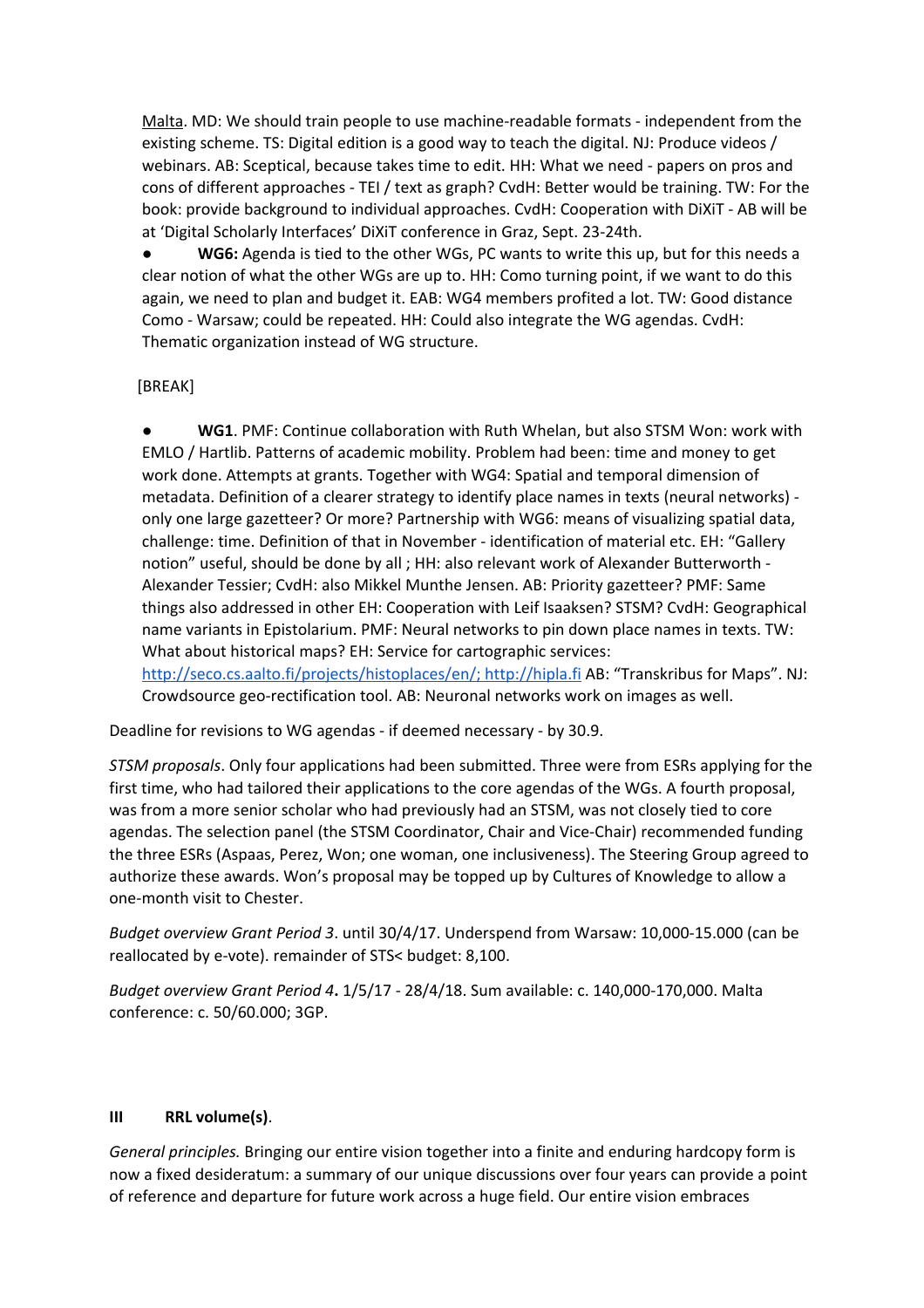Malta. MD: We should train people to use machine-readable formats - independent from the existing scheme. TS: Digital edition is a good way to teach the digital. NJ: Produce videos / webinars. AB: Sceptical, because takes time to edit. HH: What we need - papers on pros and cons of different approaches - TEI / text as graph? CvdH: Better would be training. TW: For the book: provide background to individual approaches. CvdH: Cooperation with DiXiT - AB will be at 'Digital Scholarly Interfaces' DiXiT conference in Graz, Sept. 23-24th.

WG6: Agenda is tied to the other WGs, PC wants to write this up, but for this needs a clear notion of what the other WGs are up to. HH: Como turning point, if we want to do this again, we need to plan and budget it. EAB: WG4 members profited a lot. TW: Good distance Como - Warsaw; could be repeated. HH: Could also integrate the WG agendas. CvdH: Thematic organization instead of WG structure.

#### [BREAK]

● **WG1**. PMF: Continue collaboration with Ruth Whelan, but also STSM Won: work with EMLO / Hartlib. Patterns of academic mobility. Problem had been: time and money to get work done. Attempts at grants. Together with WG4: Spatial and temporal dimension of metadata. Definition of a clearer strategy to identify place names in texts (neural networks) only one large gazetteer? Or more? Partnership with WG6: means of visualizing spatial data, challenge: time. Definition of that in November - identification of material etc. EH: "Gallery notion" useful, should be done by all ; HH: also relevant work of Alexander Butterworth - Alexander Tessier; CvdH: also Mikkel Munthe Jensen. AB: Priority gazetteer? PMF: Same things also addressed in other EH: Cooperation with Leif Isaaksen? STSM? CvdH: Geographical name variants in Epistolarium. PMF: Neural networks to pin down place names in texts. TW: What about historical maps? EH: Service for cartographic services:

[http://seco.cs.aalto.fi/projects/histoplaces/en/;](http://seco.cs.aalto.fi/projects/histoplaces/en/) [http://hipla.fi](http://hipla.fi/) AB: "Transkribus for Maps". NJ: Crowdsource geo-rectification tool. AB: Neuronal networks work on images as well.

Deadline for revisions to WG agendas - if deemed necessary - by 30.9.

*STSM proposals*. Only four applications had been submitted. Three were from ESRs applying for the first time, who had tailored their applications to the core agendas of the WGs. A fourth proposal, was from a more senior scholar who had previously had an STSM, was not closely tied to core agendas. The selection panel (the STSM Coordinator, Chair and Vice-Chair) recommended funding the three ESRs (Aspaas, Perez, Won; one woman, one inclusiveness). The Steering Group agreed to authorize these awards. Won's proposal may be topped up by Cultures of Knowledge to allow a one-month visit to Chester.

*Budget overview Grant Period 3*. until 30/4/17. Underspend from Warsaw: 10,000-15.000 (can be reallocated by e-vote). remainder of STS< budget: 8,100.

*Budget overview Grant Period 4***.** 1/5/17 - 28/4/18. Sum available: c. 140,000-170,000. Malta conference: c. 50/60.000; 3GP.

#### **III RRL volume(s)**.

*General principles.* Bringing our entire vision together into a finite and enduring hardcopy form is now a fixed desideratum: a summary of our unique discussions over four years can provide a point of reference and departure for future work across a huge field. Our entire vision embraces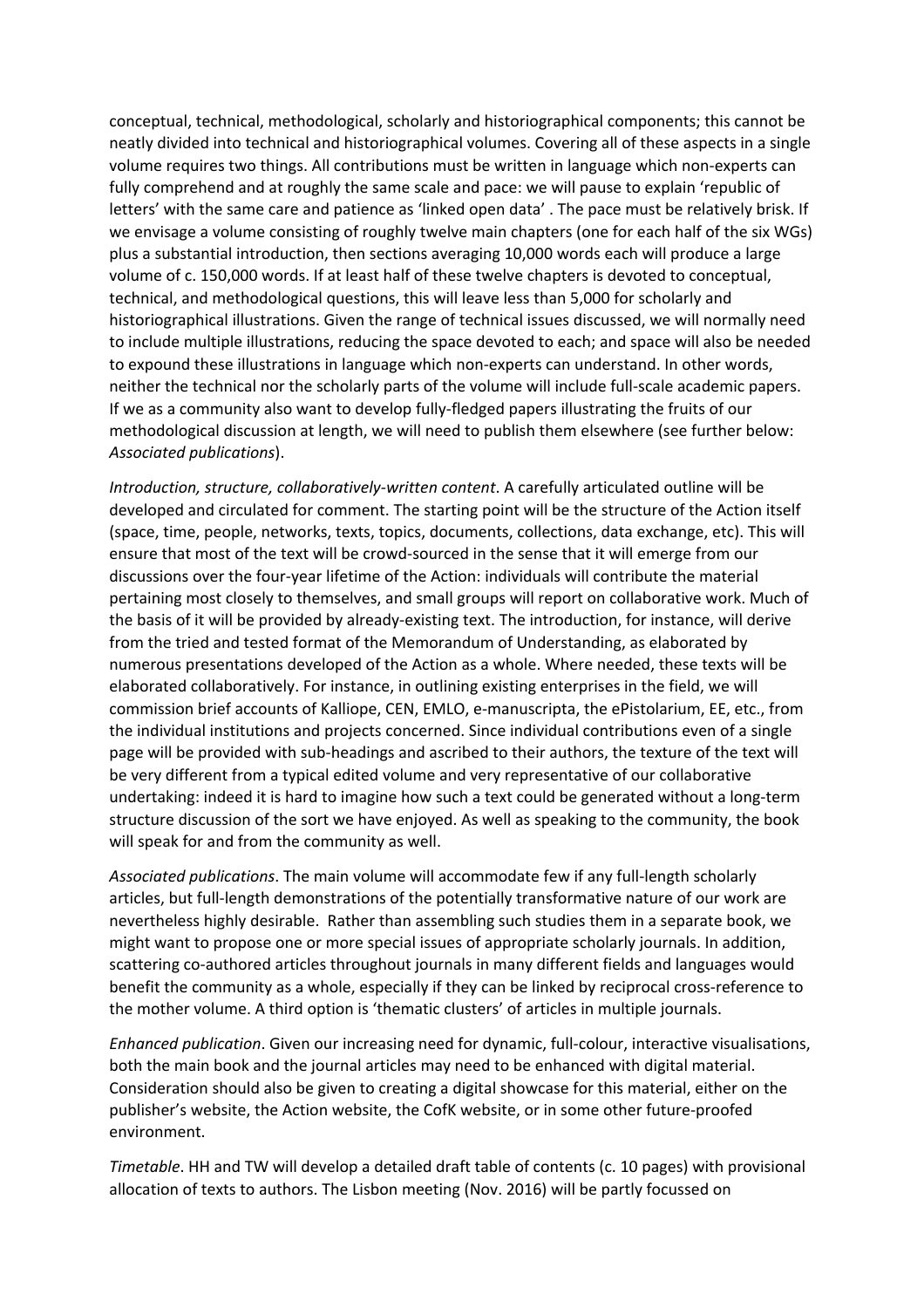conceptual, technical, methodological, scholarly and historiographical components; this cannot be neatly divided into technical and historiographical volumes. Covering all of these aspects in a single volume requires two things. All contributions must be written in language which non-experts can fully comprehend and at roughly the same scale and pace: we will pause to explain 'republic of letters' with the same care and patience as 'linked open data' . The pace must be relatively brisk. If we envisage a volume consisting of roughly twelve main chapters (one for each half of the six WGs) plus a substantial introduction, then sections averaging 10,000 words each will produce a large volume of c. 150,000 words. If at least half of these twelve chapters is devoted to conceptual, technical, and methodological questions, this will leave less than 5,000 for scholarly and historiographical illustrations. Given the range of technical issues discussed, we will normally need to include multiple illustrations, reducing the space devoted to each; and space will also be needed to expound these illustrations in language which non-experts can understand. In other words, neither the technical nor the scholarly parts of the volume will include full-scale academic papers. If we as a community also want to develop fully-fledged papers illustrating the fruits of our methodological discussion at length, we will need to publish them elsewhere (see further below: *Associated publications*).

*Introduction, structure, collaboratively-written content*. A carefully articulated outline will be developed and circulated for comment. The starting point will be the structure of the Action itself (space, time, people, networks, texts, topics, documents, collections, data exchange, etc). This will ensure that most of the text will be crowd-sourced in the sense that it will emerge from our discussions over the four-year lifetime of the Action: individuals will contribute the material pertaining most closely to themselves, and small groups will report on collaborative work. Much of the basis of it will be provided by already-existing text. The introduction, for instance, will derive from the tried and tested format of the Memorandum of Understanding, as elaborated by numerous presentations developed of the Action as a whole. Where needed, these texts will be elaborated collaboratively. For instance, in outlining existing enterprises in the field, we will commission brief accounts of Kalliope, CEN, EMLO, e-manuscripta, the ePistolarium, EE, etc., from the individual institutions and projects concerned. Since individual contributions even of a single page will be provided with sub-headings and ascribed to their authors, the texture of the text will be very different from a typical edited volume and very representative of our collaborative undertaking: indeed it is hard to imagine how such a text could be generated without a long-term structure discussion of the sort we have enjoyed. As well as speaking to the community, the book will speak for and from the community as well.

*Associated publications*. The main volume will accommodate few if any full-length scholarly articles, but full-length demonstrations of the potentially transformative nature of our work are nevertheless highly desirable. Rather than assembling such studies them in a separate book, we might want to propose one or more special issues of appropriate scholarly journals. In addition, scattering co-authored articles throughout journals in many different fields and languages would benefit the community as a whole, especially if they can be linked by reciprocal cross-reference to the mother volume. A third option is 'thematic clusters' of articles in multiple journals.

*Enhanced publication*. Given our increasing need for dynamic, full-colour, interactive visualisations, both the main book and the journal articles may need to be enhanced with digital material. Consideration should also be given to creating a digital showcase for this material, either on the publisher's website, the Action website, the CofK website, or in some other future-proofed environment.

*Timetable*. HH and TW will develop a detailed draft table of contents (c. 10 pages) with provisional allocation of texts to authors. The Lisbon meeting (Nov. 2016) will be partly focussed on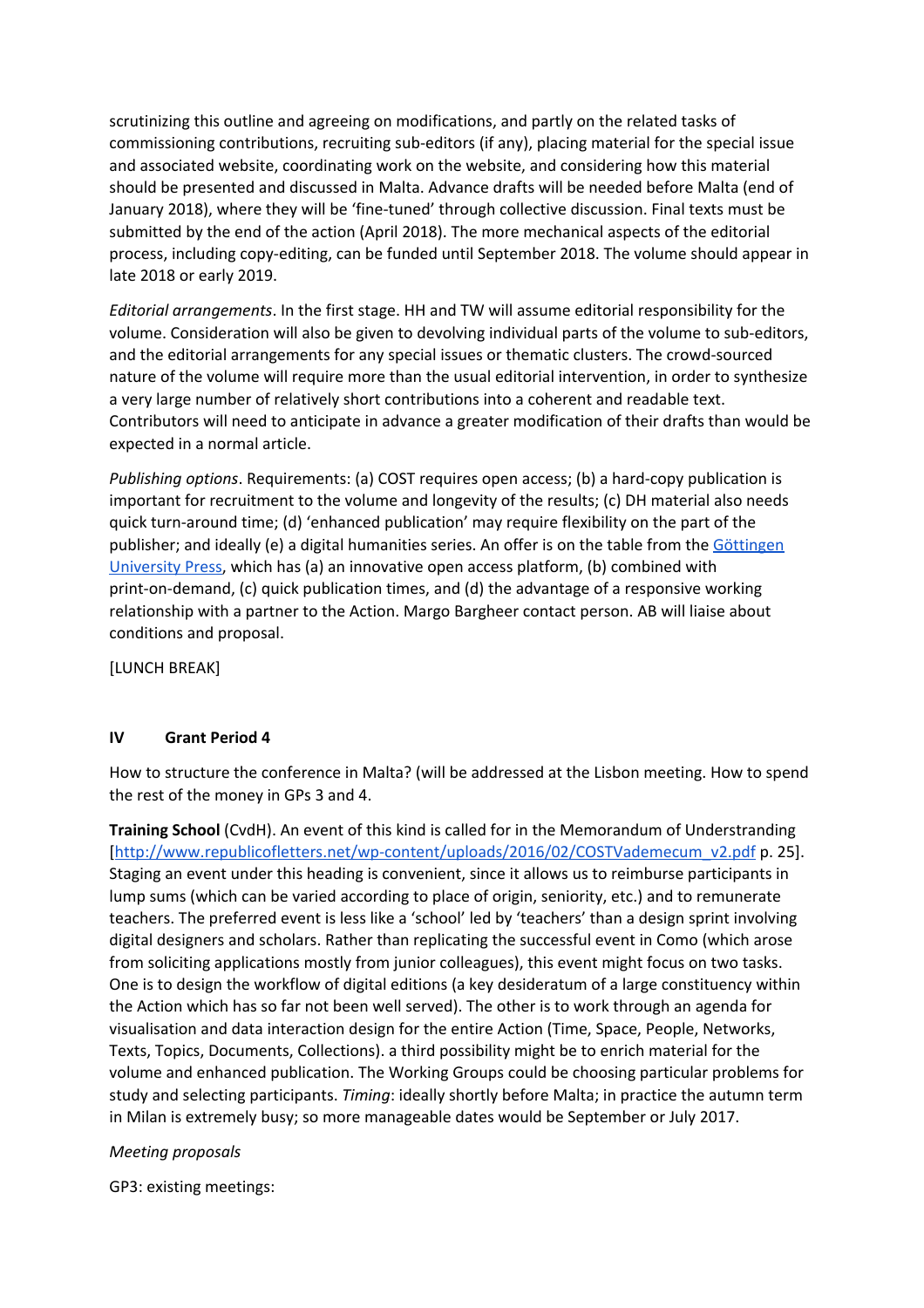scrutinizing this outline and agreeing on modifications, and partly on the related tasks of commissioning contributions, recruiting sub-editors (if any), placing material for the special issue and associated website, coordinating work on the website, and considering how this material should be presented and discussed in Malta. Advance drafts will be needed before Malta (end of January 2018), where they will be 'fine-tuned' through collective discussion. Final texts must be submitted by the end of the action (April 2018). The more mechanical aspects of the editorial process, including copy-editing, can be funded until September 2018. The volume should appear in late 2018 or early 2019.

*Editorial arrangements*. In the first stage. HH and TW will assume editorial responsibility for the volume. Consideration will also be given to devolving individual parts of the volume to sub-editors, and the editorial arrangements for any special issues or thematic clusters. The crowd-sourced nature of the volume will require more than the usual editorial intervention, in order to synthesize a very large number of relatively short contributions into a coherent and readable text. Contributors will need to anticipate in advance a greater modification of their drafts than would be expected in a normal article.

*Publishing options*. Requirements: (a) COST requires open access; (b) a hard-copy publication is important for recruitment to the volume and longevity of the results; (c) DH material also needs quick turn-around time; (d) 'enhanced publication' may require flexibility on the part of the publisher; and ideally (e) a digital humanities series. An offer is on the table from the [Göttingen](https://www.sub.uni-goettingen.de/en/electronic-publishing/goettingen-university-press/) [University Press,](https://www.sub.uni-goettingen.de/en/electronic-publishing/goettingen-university-press/) which has (a) an innovative open access platform, (b) combined with print-on-demand, (c) quick publication times, and (d) the advantage of a responsive working relationship with a partner to the Action. Margo Bargheer contact person. AB will liaise about conditions and proposal.

[LUNCH BREAK]

#### **IV Grant Period 4**

How to structure the conference in Malta? (will be addressed at the Lisbon meeting. How to spend the rest of the money in GPs 3 and 4.

**Training School** (CvdH). An event of this kind is called for in the Memorandum of Understranding [\[http://www.republicofletters.net/wp-content/uploads/2016/02/COSTVademecum\\_v2.pdf](http://www.republicofletters.net/wp-content/uploads/2016/02/COSTVademecum_v2.pdf) p. 25]. Staging an event under this heading is convenient, since it allows us to reimburse participants in lump sums (which can be varied according to place of origin, seniority, etc.) and to remunerate teachers. The preferred event is less like a 'school' led by 'teachers' than a design sprint involving digital designers and scholars. Rather than replicating the successful event in Como (which arose from soliciting applications mostly from junior colleagues), this event might focus on two tasks. One is to design the workflow of digital editions (a key desideratum of a large constituency within the Action which has so far not been well served). The other is to work through an agenda for visualisation and data interaction design for the entire Action (Time, Space, People, Networks, Texts, Topics, Documents, Collections). a third possibility might be to enrich material for the volume and enhanced publication. The Working Groups could be choosing particular problems for study and selecting participants. *Timing*: ideally shortly before Malta; in practice the autumn term in Milan is extremely busy; so more manageable dates would be September or July 2017.

#### *Meeting proposals*

GP3: existing meetings: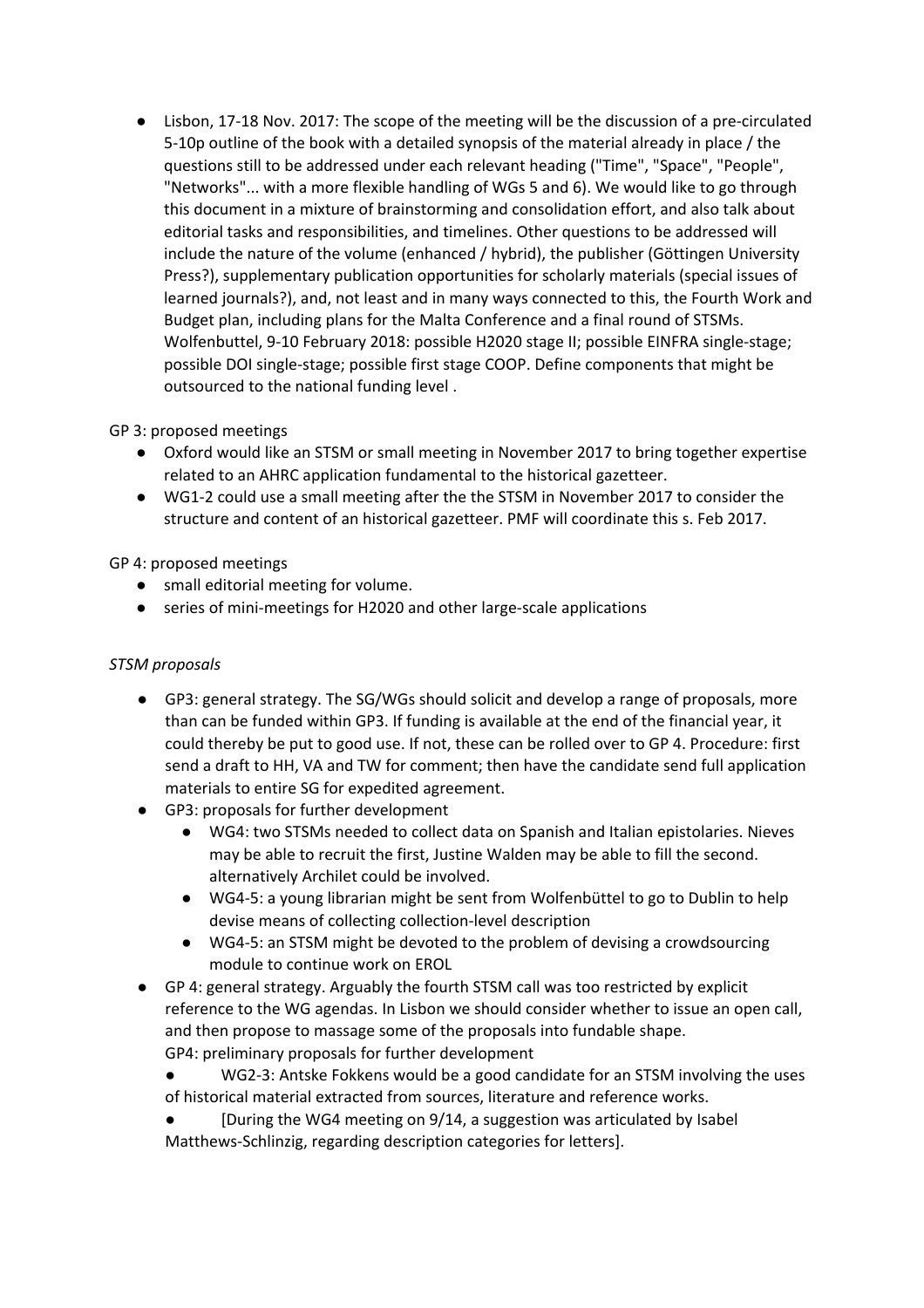● Lisbon, 17-18 Nov. 2017: The scope of the meeting will be the discussion of a pre-circulated 5-10p outline of the book with a detailed synopsis of the material already in place / the questions still to be addressed under each relevant heading ("Time", "Space", "People", "Networks"... with a more flexible handling of WGs 5 and 6). We would like to go through this document in a mixture of brainstorming and consolidation effort, and also talk about editorial tasks and responsibilities, and timelines. Other questions to be addressed will include the nature of the volume (enhanced / hybrid), the publisher (Göttingen University Press?), supplementary publication opportunities for scholarly materials (special issues of learned journals?), and, not least and in many ways connected to this, the Fourth Work and Budget plan, including plans for the Malta Conference and a final round of STSMs. Wolfenbuttel, 9-10 February 2018: possible H2020 stage II; possible EINFRA single-stage; possible DOI single-stage; possible first stage COOP. Define components that might be outsourced to the national funding level .

## GP 3: proposed meetings

- Oxford would like an STSM or small meeting in November 2017 to bring together expertise related to an AHRC application fundamental to the historical gazetteer.
- WG1-2 could use a small meeting after the the STSM in November 2017 to consider the structure and content of an historical gazetteer. PMF will coordinate this s. Feb 2017.

## GP 4: proposed meetings

- small editorial meeting for volume.
- series of mini-meetings for H2020 and other large-scale applications

#### *STSM proposals*

- GP3: general strategy. The SG/WGs should solicit and develop a range of proposals, more than can be funded within GP3. If funding is available at the end of the financial year, it could thereby be put to good use. If not, these can be rolled over to GP 4. Procedure: first send a draft to HH, VA and TW for comment; then have the candidate send full application materials to entire SG for expedited agreement.
- GP3: proposals for further development
	- WG4: two STSMs needed to collect data on Spanish and Italian epistolaries. Nieves may be able to recruit the first, Justine Walden may be able to fill the second. alternatively Archilet could be involved.
	- WG4-5: a young librarian might be sent from Wolfenbüttel to go to Dublin to help devise means of collecting collection-level description
	- WG4-5: an STSM might be devoted to the problem of devising a crowdsourcing module to continue work on EROL
- GP 4: general strategy. Arguably the fourth STSM call was too restricted by explicit reference to the WG agendas. In Lisbon we should consider whether to issue an open call, and then propose to massage some of the proposals into fundable shape. GP4: preliminary proposals for further development
	- WG2-3: Antske Fokkens would be a good candidate for an STSM involving the uses of historical material extracted from sources, literature and reference works.
	- $\bullet$  [During the WG4 meeting on 9/14, a suggestion was articulated by Isabel Matthews-Schlinzig, regarding description categories for letters].